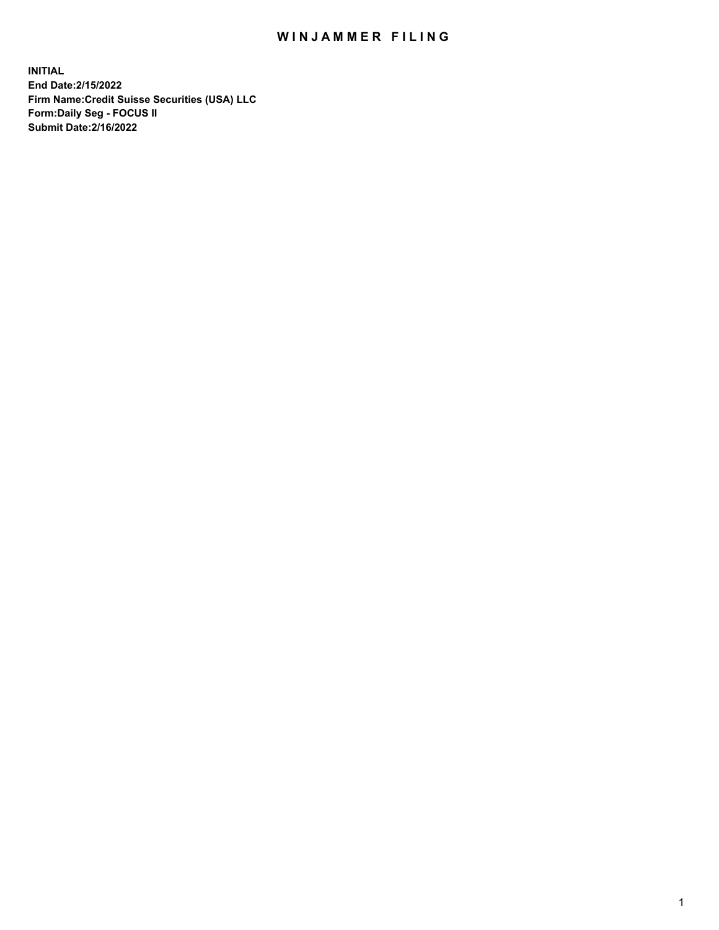## WIN JAMMER FILING

**INITIAL End Date:2/15/2022 Firm Name:Credit Suisse Securities (USA) LLC Form:Daily Seg - FOCUS II Submit Date:2/16/2022**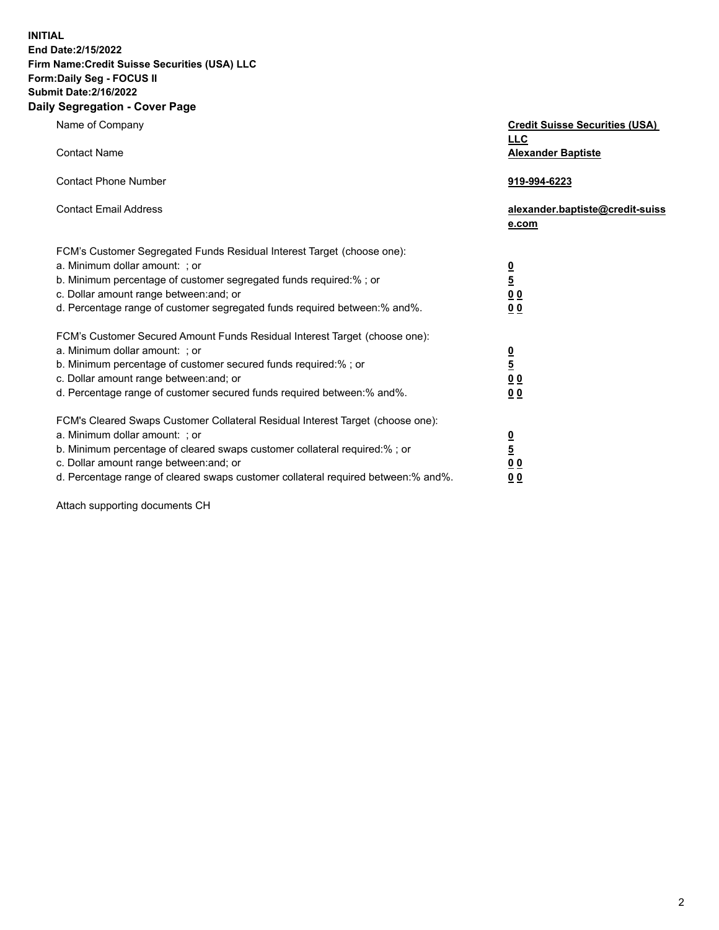**INITIAL End Date:2/15/2022** 

## **Firm Name:Credit Suisse Securities (USA) LLC Form:Daily Seg - FOCUS II Submit Date:2/16/2022**

## **Daily Segregation - Cover Page**

| <u>LLC</u><br><b>Contact Name</b><br><b>Alexander Baptiste</b><br><b>Contact Phone Number</b><br>919-994-6223<br><b>Contact Email Address</b><br>alexander.baptiste@credit-suiss<br>e.com<br>FCM's Customer Segregated Funds Residual Interest Target (choose one):<br>a. Minimum dollar amount: ; or<br>$\frac{0}{5}$<br>b. Minimum percentage of customer segregated funds required:% ; or<br>$\underline{0} \underline{0}$<br>c. Dollar amount range between: and; or<br>d. Percentage range of customer segregated funds required between:% and%.<br>00<br>FCM's Customer Secured Amount Funds Residual Interest Target (choose one):<br>a. Minimum dollar amount: ; or<br>$\frac{0}{5}$<br>b. Minimum percentage of customer secured funds required:%; or<br>c. Dollar amount range between: and; or<br>0 <sub>0</sub><br>d. Percentage range of customer secured funds required between:% and%.<br>0 <sub>0</sub> | Name of Company | <b>Credit Suisse Securities (USA)</b> |
|-------------------------------------------------------------------------------------------------------------------------------------------------------------------------------------------------------------------------------------------------------------------------------------------------------------------------------------------------------------------------------------------------------------------------------------------------------------------------------------------------------------------------------------------------------------------------------------------------------------------------------------------------------------------------------------------------------------------------------------------------------------------------------------------------------------------------------------------------------------------------------------------------------------------------|-----------------|---------------------------------------|
|                                                                                                                                                                                                                                                                                                                                                                                                                                                                                                                                                                                                                                                                                                                                                                                                                                                                                                                         |                 |                                       |
|                                                                                                                                                                                                                                                                                                                                                                                                                                                                                                                                                                                                                                                                                                                                                                                                                                                                                                                         |                 |                                       |
|                                                                                                                                                                                                                                                                                                                                                                                                                                                                                                                                                                                                                                                                                                                                                                                                                                                                                                                         |                 |                                       |
|                                                                                                                                                                                                                                                                                                                                                                                                                                                                                                                                                                                                                                                                                                                                                                                                                                                                                                                         |                 |                                       |
|                                                                                                                                                                                                                                                                                                                                                                                                                                                                                                                                                                                                                                                                                                                                                                                                                                                                                                                         |                 |                                       |
|                                                                                                                                                                                                                                                                                                                                                                                                                                                                                                                                                                                                                                                                                                                                                                                                                                                                                                                         |                 |                                       |
|                                                                                                                                                                                                                                                                                                                                                                                                                                                                                                                                                                                                                                                                                                                                                                                                                                                                                                                         |                 |                                       |
|                                                                                                                                                                                                                                                                                                                                                                                                                                                                                                                                                                                                                                                                                                                                                                                                                                                                                                                         |                 |                                       |
|                                                                                                                                                                                                                                                                                                                                                                                                                                                                                                                                                                                                                                                                                                                                                                                                                                                                                                                         |                 |                                       |
|                                                                                                                                                                                                                                                                                                                                                                                                                                                                                                                                                                                                                                                                                                                                                                                                                                                                                                                         |                 |                                       |
|                                                                                                                                                                                                                                                                                                                                                                                                                                                                                                                                                                                                                                                                                                                                                                                                                                                                                                                         |                 |                                       |
|                                                                                                                                                                                                                                                                                                                                                                                                                                                                                                                                                                                                                                                                                                                                                                                                                                                                                                                         |                 |                                       |
|                                                                                                                                                                                                                                                                                                                                                                                                                                                                                                                                                                                                                                                                                                                                                                                                                                                                                                                         |                 |                                       |
|                                                                                                                                                                                                                                                                                                                                                                                                                                                                                                                                                                                                                                                                                                                                                                                                                                                                                                                         |                 |                                       |
|                                                                                                                                                                                                                                                                                                                                                                                                                                                                                                                                                                                                                                                                                                                                                                                                                                                                                                                         |                 |                                       |
|                                                                                                                                                                                                                                                                                                                                                                                                                                                                                                                                                                                                                                                                                                                                                                                                                                                                                                                         |                 |                                       |
|                                                                                                                                                                                                                                                                                                                                                                                                                                                                                                                                                                                                                                                                                                                                                                                                                                                                                                                         |                 |                                       |
|                                                                                                                                                                                                                                                                                                                                                                                                                                                                                                                                                                                                                                                                                                                                                                                                                                                                                                                         |                 |                                       |
| FCM's Cleared Swaps Customer Collateral Residual Interest Target (choose one):                                                                                                                                                                                                                                                                                                                                                                                                                                                                                                                                                                                                                                                                                                                                                                                                                                          |                 |                                       |
| a. Minimum dollar amount: ; or<br><u>0</u>                                                                                                                                                                                                                                                                                                                                                                                                                                                                                                                                                                                                                                                                                                                                                                                                                                                                              |                 |                                       |
| $\overline{5}$<br>b. Minimum percentage of cleared swaps customer collateral required:% ; or                                                                                                                                                                                                                                                                                                                                                                                                                                                                                                                                                                                                                                                                                                                                                                                                                            |                 |                                       |
| c. Dollar amount range between: and; or<br>$\underline{0}$ $\underline{0}$                                                                                                                                                                                                                                                                                                                                                                                                                                                                                                                                                                                                                                                                                                                                                                                                                                              |                 |                                       |
| d. Percentage range of cleared swaps customer collateral required between:% and%.<br>0 <sub>0</sub>                                                                                                                                                                                                                                                                                                                                                                                                                                                                                                                                                                                                                                                                                                                                                                                                                     |                 |                                       |

Attach supporting documents CH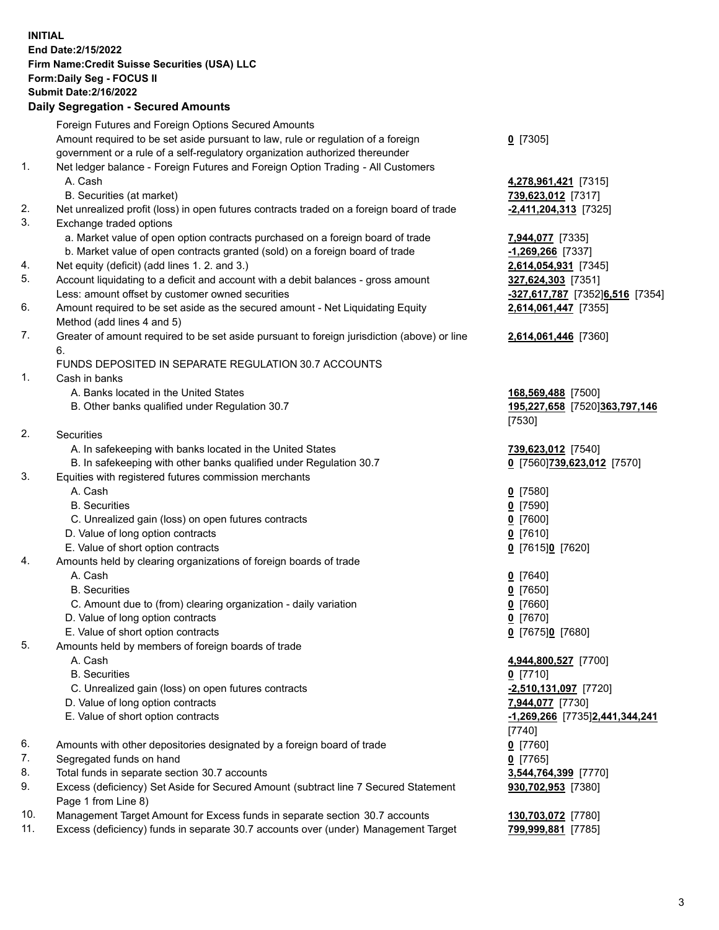**INITIAL End Date:2/15/2022 Firm Name:Credit Suisse Securities (USA) LLC Form:Daily Seg - FOCUS II Submit Date:2/16/2022** 

## **Daily Segregation - Secured Amounts**

|     | Foreign Futures and Foreign Options Secured Amounts                                         |                                                     |
|-----|---------------------------------------------------------------------------------------------|-----------------------------------------------------|
|     | Amount required to be set aside pursuant to law, rule or regulation of a foreign            | $0$ [7305]                                          |
|     | government or a rule of a self-regulatory organization authorized thereunder                |                                                     |
| 1.  | Net ledger balance - Foreign Futures and Foreign Option Trading - All Customers             |                                                     |
|     | A. Cash                                                                                     | 4,278,961,421 [7315]                                |
|     | B. Securities (at market)                                                                   | 739,623,012 [7317]                                  |
| 2.  | Net unrealized profit (loss) in open futures contracts traded on a foreign board of trade   | $-2,411,204,313$ [7325]                             |
| 3.  | Exchange traded options                                                                     |                                                     |
|     | a. Market value of open option contracts purchased on a foreign board of trade              | 7,944,077 [7335]                                    |
|     | b. Market value of open contracts granted (sold) on a foreign board of trade                | -1,269,266 [7337]                                   |
| 4.  | Net equity (deficit) (add lines 1. 2. and 3.)                                               | 2,614,054,931 [7345]                                |
| 5.  | Account liquidating to a deficit and account with a debit balances - gross amount           | 327,624,303 [7351]                                  |
|     | Less: amount offset by customer owned securities                                            | -327,617,787 [7352]6,516 [7354]                     |
| 6.  | Amount required to be set aside as the secured amount - Net Liquidating Equity              | 2,614,061,447 [7355]                                |
| 7.  | Method (add lines 4 and 5)                                                                  |                                                     |
|     | Greater of amount required to be set aside pursuant to foreign jurisdiction (above) or line | 2,614,061,446 [7360]                                |
|     | 6.<br>FUNDS DEPOSITED IN SEPARATE REGULATION 30.7 ACCOUNTS                                  |                                                     |
| 1.  | Cash in banks                                                                               |                                                     |
|     | A. Banks located in the United States                                                       |                                                     |
|     | B. Other banks qualified under Regulation 30.7                                              | 168,569,488 [7500]<br>195,227,658 [7520]363,797,146 |
|     |                                                                                             | [7530]                                              |
| 2.  | Securities                                                                                  |                                                     |
|     | A. In safekeeping with banks located in the United States                                   | 739,623,012 [7540]                                  |
|     | B. In safekeeping with other banks qualified under Regulation 30.7                          | 0 [7560]739,623,012 [7570]                          |
| 3.  | Equities with registered futures commission merchants                                       |                                                     |
|     | A. Cash                                                                                     | $0$ [7580]                                          |
|     | <b>B.</b> Securities                                                                        | $0$ [7590]                                          |
|     | C. Unrealized gain (loss) on open futures contracts                                         | $0$ [7600]                                          |
|     | D. Value of long option contracts                                                           | $0$ [7610]                                          |
|     | E. Value of short option contracts                                                          | 0 [7615]0 [7620]                                    |
| 4.  | Amounts held by clearing organizations of foreign boards of trade                           |                                                     |
|     | A. Cash                                                                                     | 0 [7640]                                            |
|     | <b>B.</b> Securities                                                                        | $0$ [7650]                                          |
|     | C. Amount due to (from) clearing organization - daily variation                             | $0$ [7660]                                          |
|     | D. Value of long option contracts                                                           | $0$ [7670]                                          |
|     | E. Value of short option contracts                                                          | 0 [7675]0 [7680]                                    |
| 5.  | Amounts held by members of foreign boards of trade                                          |                                                     |
|     | A. Cash                                                                                     | 4,944,800,527 [7700]                                |
|     | <b>B.</b> Securities                                                                        | $0$ [7710]                                          |
|     | C. Unrealized gain (loss) on open futures contracts                                         | $-2,510,131,097$ [7720]                             |
|     | D. Value of long option contracts                                                           | 7,944,077 [7730]                                    |
|     | E. Value of short option contracts                                                          | -1,269,266 [7735]2,441,344,241                      |
|     |                                                                                             | [7740]                                              |
| 6.  | Amounts with other depositories designated by a foreign board of trade                      | $0$ [7760]                                          |
| 7.  | Segregated funds on hand                                                                    | $0$ [7765]                                          |
| 8.  | Total funds in separate section 30.7 accounts                                               | 3,544,764,399 [7770]                                |
| 9.  | Excess (deficiency) Set Aside for Secured Amount (subtract line 7 Secured Statement         | 930,702,953 [7380]                                  |
|     | Page 1 from Line 8)                                                                         |                                                     |
| 10. | Management Target Amount for Excess funds in separate section 30.7 accounts                 | 130,703,072 [7780]                                  |
| 11. | Excess (deficiency) funds in separate 30.7 accounts over (under) Management Target          | 799,999,881 [7785]                                  |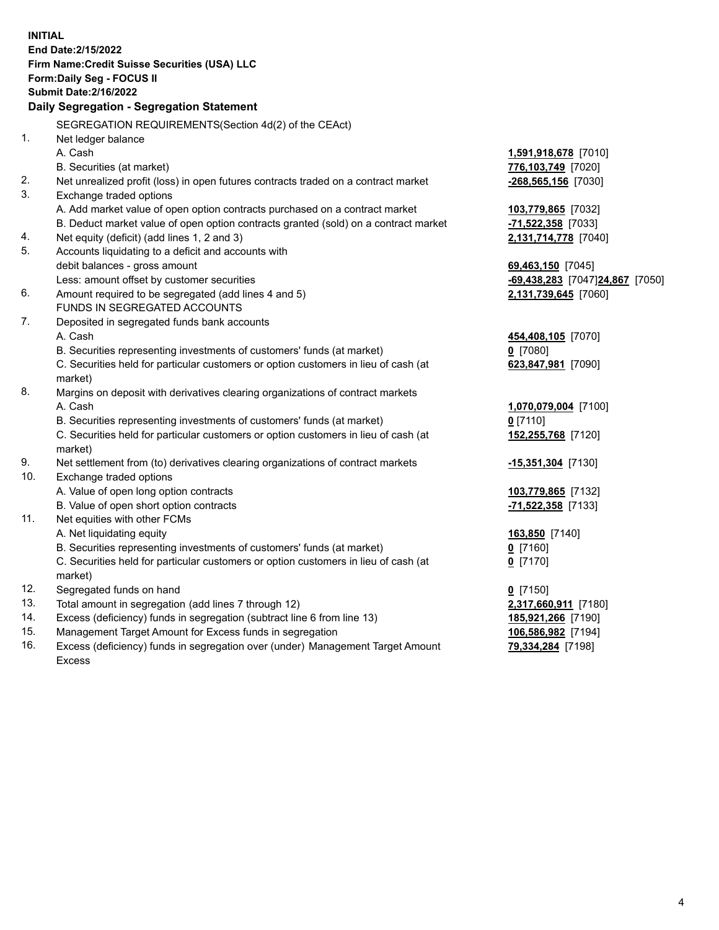15. Management Target Amount for Excess funds in segregation **106,586,982** [7194] 16. Excess (deficiency) funds in segregation over (under) Management Target Amount **79,334,284** [7198] **INITIAL End Date:2/15/2022 Firm Name:Credit Suisse Securities (USA) LLC Form:Daily Seg - FOCUS II Submit Date:2/16/2022 Daily Segregation - Segregation Statement**  SEGREGATION REQUIREMENTS(Section 4d(2) of the CEAct) 1. Net ledger balance A. Cash **1,591,918,678** [7010] B. Securities (at market) **776,103,749** [7020] 2. Net unrealized profit (loss) in open futures contracts traded on a contract market **-268,565,156** [7030] 3. Exchange traded options A. Add market value of open option contracts purchased on a contract market **103,779,865** [7032] B. Deduct market value of open option contracts granted (sold) on a contract market **-71,522,358** [7033] 4. Net equity (deficit) (add lines 1, 2 and 3) **2,131,714,778** [7040] 5. Accounts liquidating to a deficit and accounts with debit balances - gross amount **69,463,150** [7045] Less: amount offset by customer securities **-69,438,283** [7047] **24,867** [7050] 6. Amount required to be segregated (add lines 4 and 5) **2,131,739,645** [7060] FUNDS IN SEGREGATED ACCOUNTS 7. Deposited in segregated funds bank accounts A. Cash **454,408,105** [7070] B. Securities representing investments of customers' funds (at market) **0** [7080] C. Securities held for particular customers or option customers in lieu of cash (at **623,847,981** [7090] market) 8. Margins on deposit with derivatives clearing organizations of contract markets A. Cash **1,070,079,004** [7100] B. Securities representing investments of customers' funds (at market) **0** [7110] C. Securities held for particular customers or option customers in lieu of cash (at **152,255,768** [7120] market) 9. Net settlement from (to) derivatives clearing organizations of contract markets **-15,351,304** [7130] 10. Exchange traded options A. Value of open long option contracts **103,779,865** [7132] B. Value of open short option contracts **-71,522,358** [7133] 11. Net equities with other FCMs A. Net liquidating equity **163,850** [7140] B. Securities representing investments of customers' funds (at market) **0** [7160] C. Securities held for particular customers or option customers in lieu of cash (at **0** [7170] market) 12. Segregated funds on hand **0** [7150] 13. Total amount in segregation (add lines 7 through 12) **2,317,660,911** [7180] 14. Excess (deficiency) funds in segregation (subtract line 6 from line 13) **185,921,266** [7190]

Excess